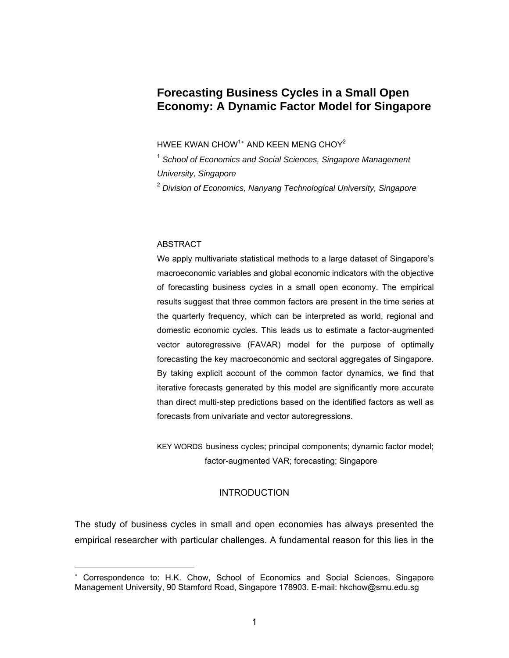# **Forecasting Business Cycles in a Small Open Economy: A Dynamic Factor Model for Singapore**

HWEE KWAN CHOW $^\text{1*}$  AND KEEN MENG CHOY $^\text{2}$ 

<sup>1</sup> School of Economics and Social Sciences, Singapore Management *University, Singapore* 

2  *Division of Economics, Nanyang Technological University, Singapore* 

# ABSTRACT

 $\overline{a}$ 

We apply multivariate statistical methods to a large dataset of Singapore's macroeconomic variables and global economic indicators with the objective of forecasting business cycles in a small open economy. The empirical results suggest that three common factors are present in the time series at the quarterly frequency, which can be interpreted as world, regional and domestic economic cycles. This leads us to estimate a factor-augmented vector autoregressive (FAVAR) model for the purpose of optimally forecasting the key macroeconomic and sectoral aggregates of Singapore. By taking explicit account of the common factor dynamics, we find that iterative forecasts generated by this model are significantly more accurate than direct multi-step predictions based on the identified factors as well as forecasts from univariate and vector autoregressions.

KEY WORDS business cycles; principal components; dynamic factor model; factor-augmented VAR; forecasting; Singapore

# INTRODUCTION

The study of business cycles in small and open economies has always presented the empirical researcher with particular challenges. A fundamental reason for this lies in the

<span id="page-0-0"></span><sup>∗</sup> Correspondence to: H.K. Chow, School of Economics and Social Sciences, Singapore Management University, 90 Stamford Road, Singapore 178903. E-mail: hkchow@smu.edu.sg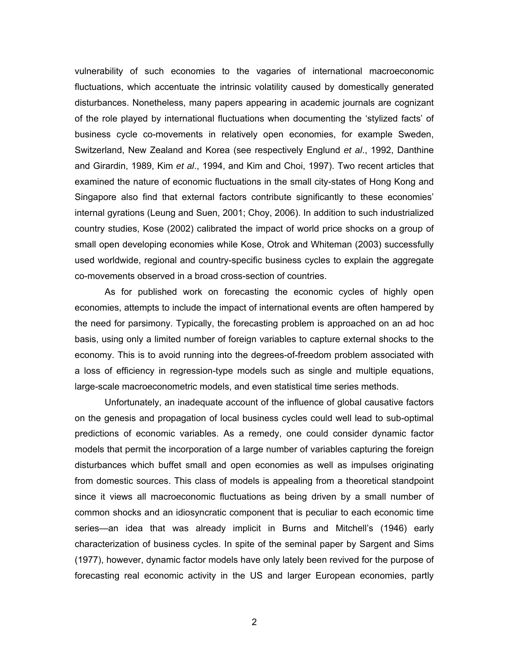vulnerability of such economies to the vagaries of international macroeconomic fluctuations, which accentuate the intrinsic volatility caused by domestically generated disturbances. Nonetheless, many papers appearing in academic journals are cognizant of the role played by international fluctuations when documenting the 'stylized facts' of business cycle co-movements in relatively open economies, for example Sweden, Switzerland, New Zealand and Korea (see respectively Englund *et al*., 1992, Danthine and Girardin, 1989, Kim *et al*., 1994, and Kim and Choi, 1997). Two recent articles that examined the nature of economic fluctuations in the small city-states of Hong Kong and Singapore also find that external factors contribute significantly to these economies' internal gyrations (Leung and Suen, 2001; Choy, 2006). In addition to such industrialized country studies, Kose (2002) calibrated the impact of world price shocks on a group of small open developing economies while Kose, Otrok and Whiteman (2003) successfully used worldwide, regional and country-specific business cycles to explain the aggregate co-movements observed in a broad cross-section of countries.

As for published work on forecasting the economic cycles of highly open economies, attempts to include the impact of international events are often hampered by the need for parsimony. Typically, the forecasting problem is approached on an ad hoc basis, using only a limited number of foreign variables to capture external shocks to the economy. This is to avoid running into the degrees-of-freedom problem associated with a loss of efficiency in regression-type models such as single and multiple equations, large-scale macroeconometric models, and even statistical time series methods.

Unfortunately, an inadequate account of the influence of global causative factors on the genesis and propagation of local business cycles could well lead to sub-optimal predictions of economic variables. As a remedy, one could consider dynamic factor models that permit the incorporation of a large number of variables capturing the foreign disturbances which buffet small and open economies as well as impulses originating from domestic sources. This class of models is appealing from a theoretical standpoint since it views all macroeconomic fluctuations as being driven by a small number of common shocks and an idiosyncratic component that is peculiar to each economic time series—an idea that was already implicit in Burns and Mitchell's (1946) early characterization of business cycles. In spite of the seminal paper by Sargent and Sims (1977), however, dynamic factor models have only lately been revived for the purpose of forecasting real economic activity in the US and larger European economies, partly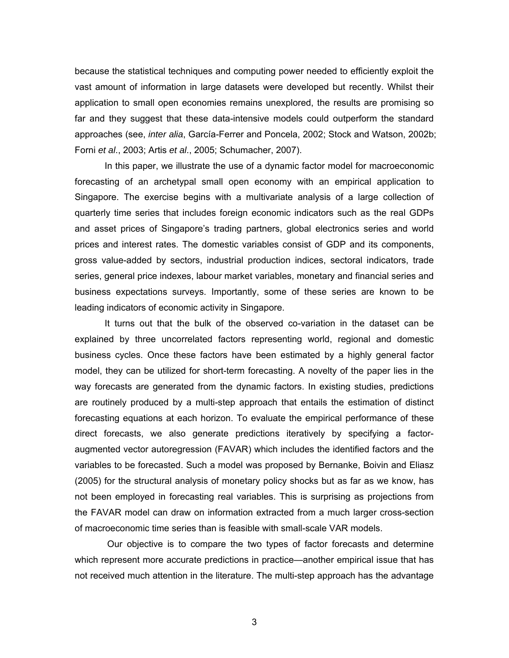because the statistical techniques and computing power needed to efficiently exploit the vast amount of information in large datasets were developed but recently. Whilst their application to small open economies remains unexplored, the results are promising so far and they suggest that these data-intensive models could outperform the standard approaches (see, *inter alia*, García-Ferrer and Poncela, 2002; Stock and Watson, 2002b; Forni *et al*., 2003; Artis *et al*., 2005; Schumacher, 2007).

In this paper, we illustrate the use of a dynamic factor model for macroeconomic forecasting of an archetypal small open economy with an empirical application to Singapore. The exercise begins with a multivariate analysis of a large collection of quarterly time series that includes foreign economic indicators such as the real GDPs and asset prices of Singapore's trading partners, global electronics series and world prices and interest rates. The domestic variables consist of GDP and its components, gross value-added by sectors, industrial production indices, sectoral indicators, trade series, general price indexes, labour market variables, monetary and financial series and business expectations surveys. Importantly, some of these series are known to be leading indicators of economic activity in Singapore.

It turns out that the bulk of the observed co-variation in the dataset can be explained by three uncorrelated factors representing world, regional and domestic business cycles. Once these factors have been estimated by a highly general factor model, they can be utilized for short-term forecasting. A novelty of the paper lies in the way forecasts are generated from the dynamic factors. In existing studies, predictions are routinely produced by a multi-step approach that entails the estimation of distinct forecasting equations at each horizon. To evaluate the empirical performance of these direct forecasts, we also generate predictions iteratively by specifying a factoraugmented vector autoregression (FAVAR) which includes the identified factors and the variables to be forecasted. Such a model was proposed by Bernanke, Boivin and Eliasz (2005) for the structural analysis of monetary policy shocks but as far as we know, has not been employed in forecasting real variables. This is surprising as projections from the FAVAR model can draw on information extracted from a much larger cross-section of macroeconomic time series than is feasible with small-scale VAR models.

 Our objective is to compare the two types of factor forecasts and determine which represent more accurate predictions in practice—another empirical issue that has not received much attention in the literature. The multi-step approach has the advantage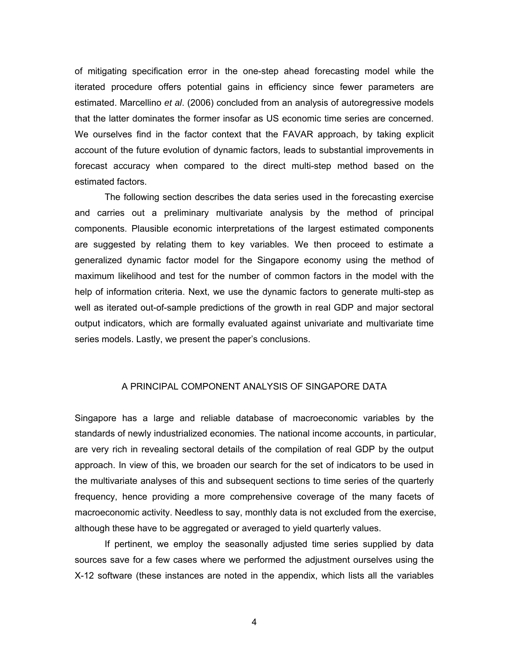of mitigating specification error in the one-step ahead forecasting model while the iterated procedure offers potential gains in efficiency since fewer parameters are estimated. Marcellino *et al*. (2006) concluded from an analysis of autoregressive models that the latter dominates the former insofar as US economic time series are concerned. We ourselves find in the factor context that the FAVAR approach, by taking explicit account of the future evolution of dynamic factors, leads to substantial improvements in forecast accuracy when compared to the direct multi-step method based on the estimated factors.

The following section describes the data series used in the forecasting exercise and carries out a preliminary multivariate analysis by the method of principal components. Plausible economic interpretations of the largest estimated components are suggested by relating them to key variables. We then proceed to estimate a generalized dynamic factor model for the Singapore economy using the method of maximum likelihood and test for the number of common factors in the model with the help of information criteria. Next, we use the dynamic factors to generate multi-step as well as iterated out-of-sample predictions of the growth in real GDP and major sectoral output indicators, which are formally evaluated against univariate and multivariate time series models. Lastly, we present the paper's conclusions.

# A PRINCIPAL COMPONENT ANALYSIS OF SINGAPORE DATA

Singapore has a large and reliable database of macroeconomic variables by the standards of newly industrialized economies. The national income accounts, in particular, are very rich in revealing sectoral details of the compilation of real GDP by the output approach. In view of this, we broaden our search for the set of indicators to be used in the multivariate analyses of this and subsequent sections to time series of the quarterly frequency, hence providing a more comprehensive coverage of the many facets of macroeconomic activity. Needless to say, monthly data is not excluded from the exercise, although these have to be aggregated or averaged to yield quarterly values.

If pertinent, we employ the seasonally adjusted time series supplied by data sources save for a few cases where we performed the adjustment ourselves using the X-12 software (these instances are noted in the appendix, which lists all the variables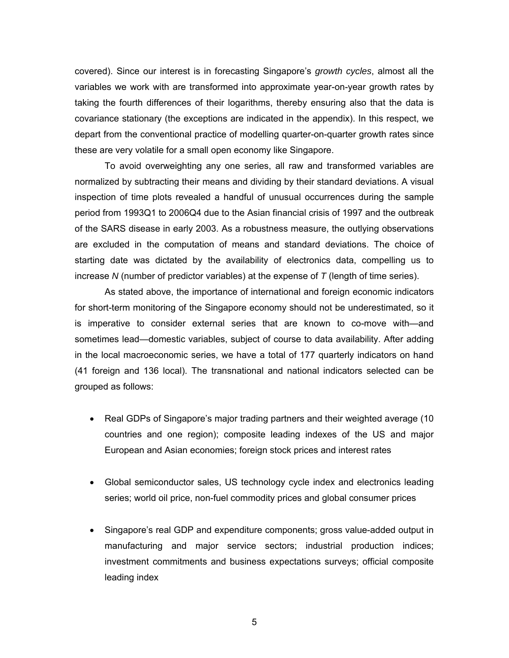covered). Since our interest is in forecasting Singapore's *growth cycles*, almost all the variables we work with are transformed into approximate year-on-year growth rates by taking the fourth differences of their logarithms, thereby ensuring also that the data is covariance stationary (the exceptions are indicated in the appendix). In this respect, we depart from the conventional practice of modelling quarter-on-quarter growth rates since these are very volatile for a small open economy like Singapore.

To avoid overweighting any one series, all raw and transformed variables are normalized by subtracting their means and dividing by their standard deviations. A visual inspection of time plots revealed a handful of unusual occurrences during the sample period from 1993Q1 to 2006Q4 due to the Asian financial crisis of 1997 and the outbreak of the SARS disease in early 2003. As a robustness measure, the outlying observations are excluded in the computation of means and standard deviations. The choice of starting date was dictated by the availability of electronics data, compelling us to increase *N* (number of predictor variables) at the expense of *T* (length of time series).

As stated above, the importance of international and foreign economic indicators for short-term monitoring of the Singapore economy should not be underestimated, so it is imperative to consider external series that are known to co-move with—and sometimes lead—domestic variables, subject of course to data availability. After adding in the local macroeconomic series, we have a total of 177 quarterly indicators on hand (41 foreign and 136 local). The transnational and national indicators selected can be grouped as follows:

- Real GDPs of Singapore's major trading partners and their weighted average (10 countries and one region); composite leading indexes of the US and major European and Asian economies; foreign stock prices and interest rates
- Global semiconductor sales, US technology cycle index and electronics leading series; world oil price, non-fuel commodity prices and global consumer prices
- Singapore's real GDP and expenditure components; gross value-added output in manufacturing and major service sectors; industrial production indices; investment commitments and business expectations surveys; official composite leading index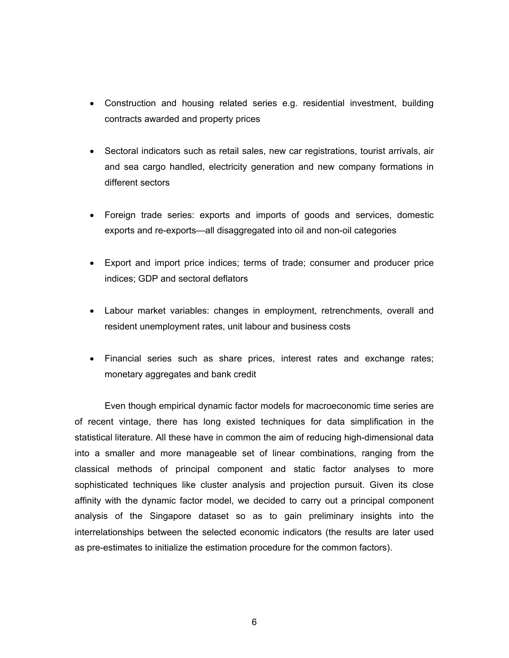- Construction and housing related series e.g. residential investment, building contracts awarded and property prices
- Sectoral indicators such as retail sales, new car registrations, tourist arrivals, air and sea cargo handled, electricity generation and new company formations in different sectors
- Foreign trade series: exports and imports of goods and services, domestic exports and re-exports—all disaggregated into oil and non-oil categories
- Export and import price indices; terms of trade; consumer and producer price indices; GDP and sectoral deflators
- Labour market variables: changes in employment, retrenchments, overall and resident unemployment rates, unit labour and business costs
- Financial series such as share prices, interest rates and exchange rates; monetary aggregates and bank credit

Even though empirical dynamic factor models for macroeconomic time series are of recent vintage, there has long existed techniques for data simplification in the statistical literature. All these have in common the aim of reducing high-dimensional data into a smaller and more manageable set of linear combinations, ranging from the classical methods of principal component and static factor analyses to more sophisticated techniques like cluster analysis and projection pursuit. Given its close affinity with the dynamic factor model, we decided to carry out a principal component analysis of the Singapore dataset so as to gain preliminary insights into the interrelationships between the selected economic indicators (the results are later used as pre-estimates to initialize the estimation procedure for the common factors).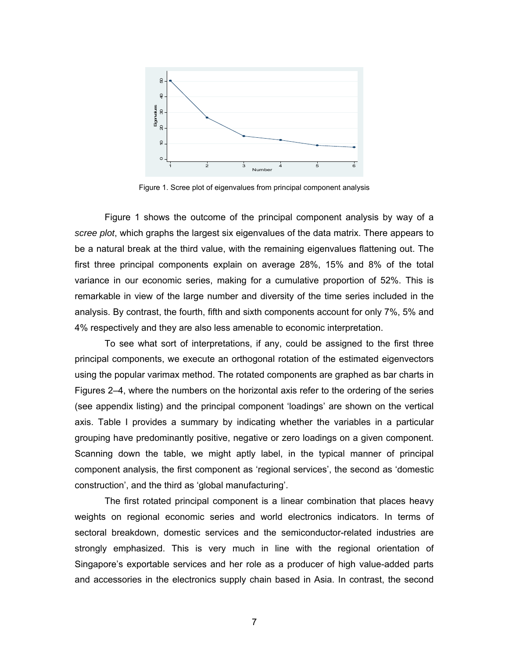

Figure 1. Scree plot of eigenvalues from principal component analysis

 Figure 1 shows the outcome of the principal component analysis by way of a *scree plot*, which graphs the largest six eigenvalues of the data matrix. There appears to be a natural break at the third value, with the remaining eigenvalues flattening out. The first three principal components explain on average 28%, 15% and 8% of the total variance in our economic series, making for a cumulative proportion of 52%. This is remarkable in view of the large number and diversity of the time series included in the analysis. By contrast, the fourth, fifth and sixth components account for only 7%, 5% and 4% respectively and they are also less amenable to economic interpretation.

To see what sort of interpretations, if any, could be assigned to the first three principal components, we execute an orthogonal rotation of the estimated eigenvectors using the popular varimax method. The rotated components are graphed as bar charts in Figures 2–4, where the numbers on the horizontal axis refer to the ordering of the series (see appendix listing) and the principal component 'loadings' are shown on the vertical axis. Table I provides a summary by indicating whether the variables in a particular grouping have predominantly positive, negative or zero loadings on a given component. Scanning down the table, we might aptly label, in the typical manner of principal component analysis, the first component as 'regional services', the second as 'domestic construction', and the third as 'global manufacturing'.

The first rotated principal component is a linear combination that places heavy weights on regional economic series and world electronics indicators. In terms of sectoral breakdown, domestic services and the semiconductor-related industries are strongly emphasized. This is very much in line with the regional orientation of Singapore's exportable services and her role as a producer of high value-added parts and accessories in the electronics supply chain based in Asia. In contrast, the second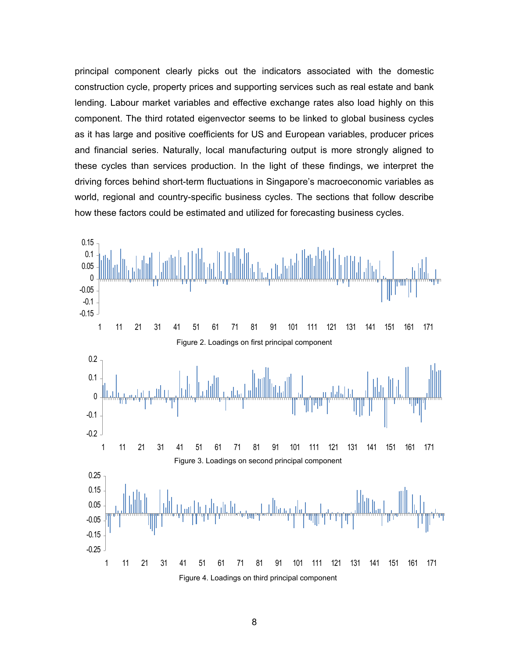principal component clearly picks out the indicators associated with the domestic construction cycle, property prices and supporting services such as real estate and bank lending. Labour market variables and effective exchange rates also load highly on this component. The third rotated eigenvector seems to be linked to global business cycles as it has large and positive coefficients for US and European variables, producer prices and financial series. Naturally, local manufacturing output is more strongly aligned to these cycles than services production. In the light of these findings, we interpret the driving forces behind short-term fluctuations in Singapore's macroeconomic variables as world, regional and country-specific business cycles. The sections that follow describe how these factors could be estimated and utilized for forecasting business cycles.

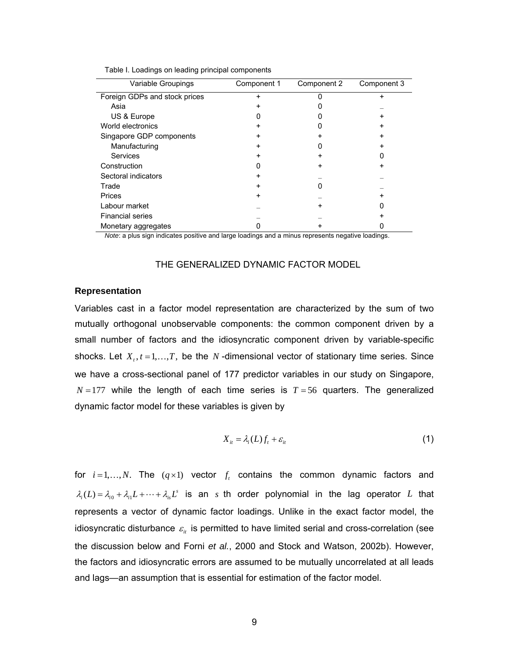| Variable Groupings            | Component 1 | Component 2 | Component 3 |
|-------------------------------|-------------|-------------|-------------|
| Foreign GDPs and stock prices | +           |             |             |
| Asia                          |             |             |             |
| US & Europe                   |             |             |             |
| World electronics             |             |             |             |
| Singapore GDP components      | +           |             |             |
| Manufacturing                 | +           |             |             |
| Services                      |             |             |             |
| Construction                  |             |             |             |
| Sectoral indicators           | +           |             |             |
| Trade                         | +           |             |             |
| Prices                        | +           |             |             |
| Labour market                 |             |             |             |
| <b>Financial series</b>       |             |             |             |
| Monetary aggregates           |             |             |             |

| Table I. Loadings on leading principal components |  |  |
|---------------------------------------------------|--|--|
|---------------------------------------------------|--|--|

*Note*: a plus sign indicates positive and large loadings and a minus represents negative loadings.

#### THE GENERALIZED DYNAMIC FACTOR MODEL

#### **Representation**

Variables cast in a factor model representation are characterized by the sum of two mutually orthogonal unobservable components: the common component driven by a small number of factors and the idiosyncratic component driven by variable-specific shocks. Let  $X_t, t = 1, \ldots, T$ , be the *N*-dimensional vector of stationary time series. Since we have a cross-sectional panel of 177 predictor variables in our study on Singapore,  $N = 177$  while the length of each time series is  $T = 56$  quarters. The generalized dynamic factor model for these variables is given by

$$
X_{it} = \lambda_i(L)f_t + \varepsilon_{it} \tag{1}
$$

<span id="page-8-0"></span>for  $i = 1, \ldots, N$ . The  $(q \times 1)$  vector  $f_t$  contains the common dynamic factors and  $\lambda_i(L) = \lambda_{i0} + \lambda_{i1}L + \dots + \lambda_{i}L^s$  is an *s* th order polynomial in the lag operator *L* that represents a vector of dynamic factor loadings. Unlike in the exact factor model, the idiosyncratic disturbance  $\varepsilon$ <sub>it</sub> is permitted to have limited serial and cross-correlation (see the discussion below and Forni *et al.*, 2000 and Stock and Watson, 2002b). However, the factors and idiosyncratic errors are assumed to be mutually uncorrelated at all leads and lags—an assumption that is essential for estimation of the factor model.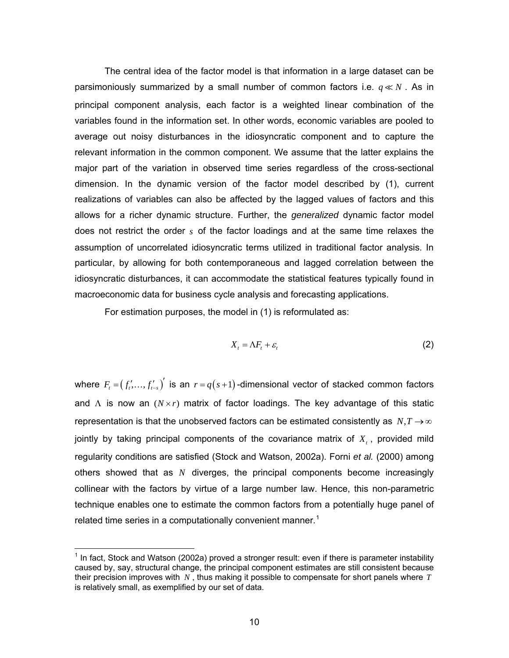The central idea of the factor model is that information in a large dataset can be parsimoniously summarized by a small number of common factors i.e.  $q \ll N$ . As in principal component analysis, each factor is a weighted linear combination of the variables found in the information set. In other words, economic variables are pooled to average out noisy disturbances in the idiosyncratic component and to capture the relevant information in the common component. We assume that the latter explains the major part of the variation in observed time series regardless of the cross-sectional dimension. In the dynamic version of the factor model described by [\(1\)](#page-8-0), current realizations of variables can also be affected by the lagged values of factors and this allows for a richer dynamic structure. Further, the *generalized* dynamic factor model does not restrict the order *s* of the factor loadings and at the same time relaxes the assumption of uncorrelated idiosyncratic terms utilized in traditional factor analysis. In particular, by allowing for both contemporaneous and lagged correlation between the idiosyncratic disturbances, it can accommodate the statistical features typically found in macroeconomic data for business cycle analysis and forecasting applications.

For estimation purposes, the model in [\(1\)](#page-8-0) is reformulated as:

$$
X_t = \Lambda F_t + \varepsilon_t \tag{2}
$$

<span id="page-9-1"></span>where  $F_{i} = ( f'_{i},...,f'_{i-s} )'$  is an  $r = q(s+1)$ -dimensional vector of stacked common factors and  $\Lambda$  is now an  $(N \times r)$  matrix of factor loadings. The key advantage of this static representation is that the unobserved factors can be estimated consistently as  $N, T \rightarrow \infty$ jointly by taking principal components of the covariance matrix of  $X_t$ , provided mild regularity conditions are satisfied (Stock and Watson, 2002a). Forni *et al.* (2000) among others showed that as *N* diverges, the principal components become increasingly collinear with the factors by virtue of a large number law. Hence, this non-parametric technique enables one to estimate the common factors from a potentially huge panel of related time series in a computationally convenient manner.<sup>[1](#page-9-0)</sup>

 $\overline{a}$ 

<span id="page-9-0"></span> $1$  In fact, Stock and Watson (2002a) proved a stronger result: even if there is parameter instability caused by, say, structural change, the principal component estimates are still consistent because their precision improves with  $N$  , thus making it possible to compensate for short panels where  $T$ is relatively small, as exemplified by our set of data.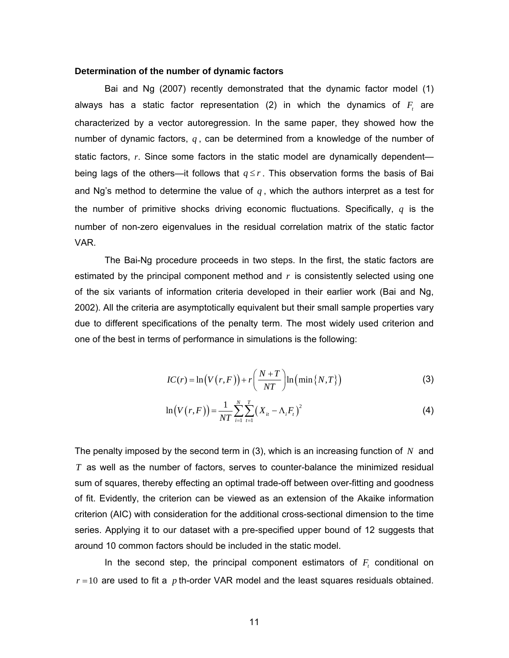## **Determination of the number of dynamic factors**

Bai and Ng (2007) recently demonstrated that the dynamic factor model [\(1\)](#page-8-0) always has a static factor representation  $(2)$  in which the dynamics of  $F<sub>t</sub>$  are characterized by a vector autoregression. In the same paper, they showed how the number of dynamic factors, *q* , can be determined from a knowledge of the number of static factors, r. Since some factors in the static model are dynamically dependent being lags of the others—it follows that  $q \leq r$ . This observation forms the basis of Bai and Ng's method to determine the value of  $q$ , which the authors interpret as a test for the number of primitive shocks driving economic fluctuations. Specifically, *q* is the number of non-zero eigenvalues in the residual correlation matrix of the static factor VAR.

The Bai-Ng procedure proceeds in two steps. In the first, the static factors are estimated by the principal component method and *r* is consistently selected using one of the six variants of information criteria developed in their earlier work (Bai and Ng, 2002). All the criteria are asymptotically equivalent but their small sample properties vary due to different specifications of the penalty term. The most widely used criterion and one of the best in terms of performance in simulations is the following:

$$
IC(r) = \ln(V(r, F)) + r\left(\frac{N+T}{NT}\right) \ln\left(\min\{N, T\}\right)
$$
 (3)

$$
\ln(V(r, F)) = \frac{1}{NT} \sum_{i=1}^{N} \sum_{t=1}^{T} (X_{it} - \Lambda_i F_t)^2
$$
 (4)

<span id="page-10-0"></span>The penalty imposed by the second term in [\(3\),](#page-10-0) which is an increasing function of *N* and  $T$  as well as the number of factors, serves to counter-balance the minimized residual sum of squares, thereby effecting an optimal trade-off between over-fitting and goodness of fit. Evidently, the criterion can be viewed as an extension of the Akaike information criterion (AIC) with consideration for the additional cross-sectional dimension to the time series. Applying it to our dataset with a pre-specified upper bound of 12 suggests that around 10 common factors should be included in the static model.

In the second step, the principal component estimators of  $F_t$  conditional on  $r = 10$  are used to fit a  $p$  th-order VAR model and the least squares residuals obtained.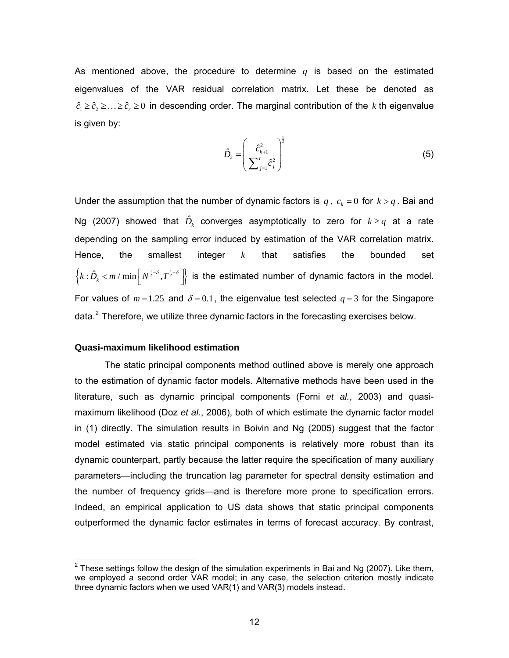As mentioned above, the procedure to determine *q* is based on the estimated eigenvalues of the VAR residual correlation matrix. Let these be denoted as  $\hat{c}_1 \geq \hat{c}_2 \geq \ldots \geq \hat{c}_r \geq 0$  in descending order. The marginal contribution of the *k* th eigenvalue is given by:

$$
\hat{D}_k = \left(\frac{\hat{c}_{k+1}^2}{\sum_{j=1}^r \hat{c}_j^2}\right)^{\frac{1}{2}}
$$
\n(5)

Under the assumption that the number of dynamic factors is  $q$ ,  $c_k = 0$  for  $k > q$ . Bai and Ng (2007) showed that  $\hat{D}_k$  converges asymptotically to zero for  $k \geq q$  at a rate depending on the sampling error induced by estimation of the VAR correlation matrix. Hence, the smallest integer *k* that satisfies the bounded set  $\left\{ k:\hat{D}_{k} < m/ \min\left[N^{\frac{1}{2}-\delta},T^{\frac{1}{2}-\delta}\right]\right\}$  is the estimated number of dynamic factors in the model. For values of  $m = 1.25$  and  $\delta = 0.1$ , the eigenvalue test selected  $q = 3$  for the Singapore data. $<sup>2</sup>$  $<sup>2</sup>$  $<sup>2</sup>$  Therefore, we utilize three dynamic factors in the forecasting exercises below.</sup>

## **Quasi-maximum likelihood estimation**

The static principal components method outlined above is merely one approach to the estimation of dynamic factor models. Alternative methods have been used in the literature, such as dynamic principal components (Forni *et al.*, 2003) and quasimaximum likelihood (Doz *et al.*, 2006), both of which estimate the dynamic factor model in [\(1\)](#page-8-0) directly. The simulation results in Boivin and Ng (2005) suggest that the factor model estimated via static principal components is relatively more robust than its dynamic counterpart, partly because the latter require the specification of many auxiliary parameters—including the truncation lag parameter for spectral density estimation and the number of frequency grids—and is therefore more prone to specification errors. Indeed, an empirical application to US data shows that static principal components outperformed the dynamic factor estimates in terms of forecast accuracy. By contrast,

<span id="page-11-0"></span><sup>&</sup>lt;u>2</u><br><sup>2</sup> These settings follow the design of the simulation experiments in Bai and Ng (2007). Like them, we employed a second order VAR model; in any case, the selection criterion mostly indicate three dynamic factors when we used VAR(1) and VAR(3) models instead.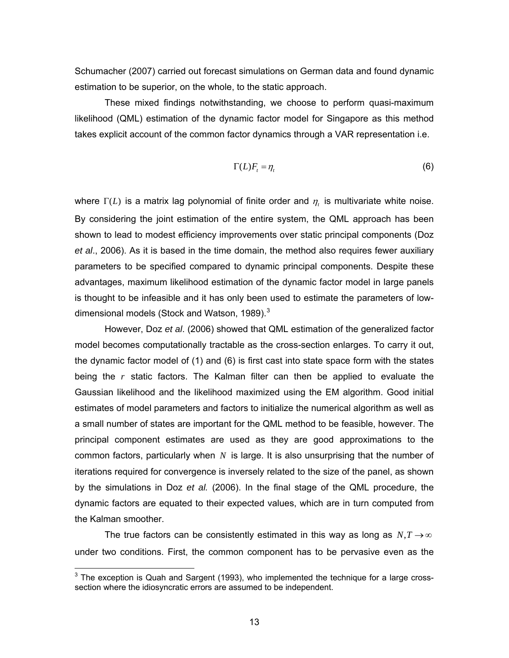Schumacher (2007) carried out forecast simulations on German data and found dynamic estimation to be superior, on the whole, to the static approach.

These mixed findings notwithstanding, we choose to perform quasi-maximum likelihood (QML) estimation of the dynamic factor model for Singapore as this method takes explicit account of the common factor dynamics through a VAR representation i.e.

$$
\Gamma(L)F_t = \eta_t \tag{6}
$$

<span id="page-12-1"></span>where  $\Gamma(L)$  is a matrix lag polynomial of finite order and  $\eta$ , is multivariate white noise. By considering the joint estimation of the entire system, the QML approach has been shown to lead to modest efficiency improvements over static principal components (Doz *et al*., 2006). As it is based in the time domain, the method also requires fewer auxiliary parameters to be specified compared to dynamic principal components. Despite these advantages, maximum likelihood estimation of the dynamic factor model in large panels is thought to be infeasible and it has only been used to estimate the parameters of low-dimensional models (Stock and Watson, 1989).<sup>[3](#page-12-0)</sup>

However, Doz *et al*. (2006) showed that QML estimation of the generalized factor model becomes computationally tractable as the cross-section enlarges. To carry it out, the dynamic factor model of [\(1\)](#page-8-0) and [\(6\)](#page-12-1) is first cast into state space form with the states being the *r* static factors. The Kalman filter can then be applied to evaluate the Gaussian likelihood and the likelihood maximized using the EM algorithm. Good initial estimates of model parameters and factors to initialize the numerical algorithm as well as a small number of states are important for the QML method to be feasible, however. The principal component estimates are used as they are good approximations to the common factors, particularly when *N* is large. It is also unsurprising that the number of iterations required for convergence is inversely related to the size of the panel, as shown by the simulations in Doz *et al.* (2006). In the final stage of the QML procedure, the dynamic factors are equated to their expected values, which are in turn computed from the Kalman smoother.

The true factors can be consistently estimated in this way as long as  $N, T \rightarrow \infty$ under two conditions. First, the common component has to be pervasive even as the

 $\overline{a}$ 

<span id="page-12-0"></span> $3$  The exception is Quah and Sargent (1993), who implemented the technique for a large crosssection where the idiosyncratic errors are assumed to be independent.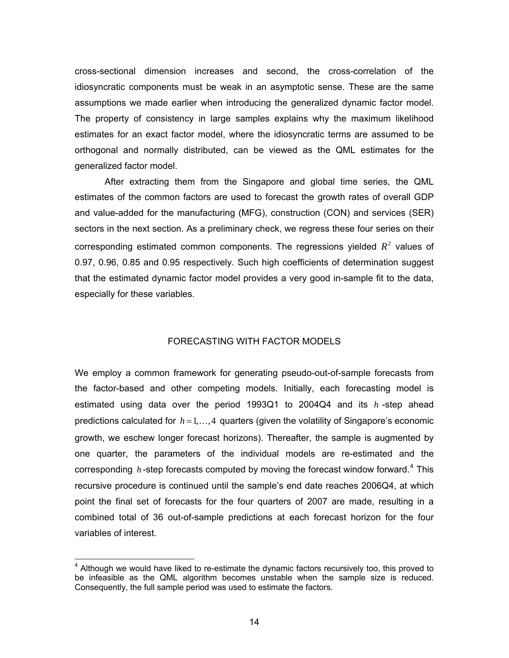cross-sectional dimension increases and second, the cross-correlation of the idiosyncratic components must be weak in an asymptotic sense. These are the same assumptions we made earlier when introducing the generalized dynamic factor model. The property of consistency in large samples explains why the maximum likelihood estimates for an exact factor model, where the idiosyncratic terms are assumed to be orthogonal and normally distributed, can be viewed as the QML estimates for the generalized factor model.

After extracting them from the Singapore and global time series, the QML estimates of the common factors are used to forecast the growth rates of overall GDP and value-added for the manufacturing (MFG), construction (CON) and services (SER) sectors in the next section. As a preliminary check, we regress these four series on their corresponding estimated common components. The regressions yielded  $R^2$  values of 0.97, 0.96, 0.85 and 0.95 respectively. Such high coefficients of determination suggest that the estimated dynamic factor model provides a very good in-sample fit to the data, especially for these variables.

# FORECASTING WITH FACTOR MODELS

We employ a common framework for generating pseudo-out-of-sample forecasts from the factor-based and other competing models. Initially, each forecasting model is estimated using data over the period 1993Q1 to 2004Q4 and its *h* -step ahead predictions calculated for  $h = 1, \ldots, 4$  quarters (given the volatility of Singapore's economic growth, we eschew longer forecast horizons). Thereafter, the sample is augmented by one quarter, the parameters of the individual models are re-estimated and the corresponding h-step forecasts computed by moving the forecast window forward.<sup>[4](#page-13-0)</sup> This recursive procedure is continued until the sample's end date reaches 2006Q4, at which point the final set of forecasts for the four quarters of 2007 are made, resulting in a combined total of 36 out-of-sample predictions at each forecast horizon for the four variables of interest.

 $\overline{a}$ 

<span id="page-13-0"></span><sup>&</sup>lt;sup>4</sup> Although we would have liked to re-estimate the dynamic factors recursively too, this proved to be infeasible as the QML algorithm becomes unstable when the sample size is reduced. Consequently, the full sample period was used to estimate the factors.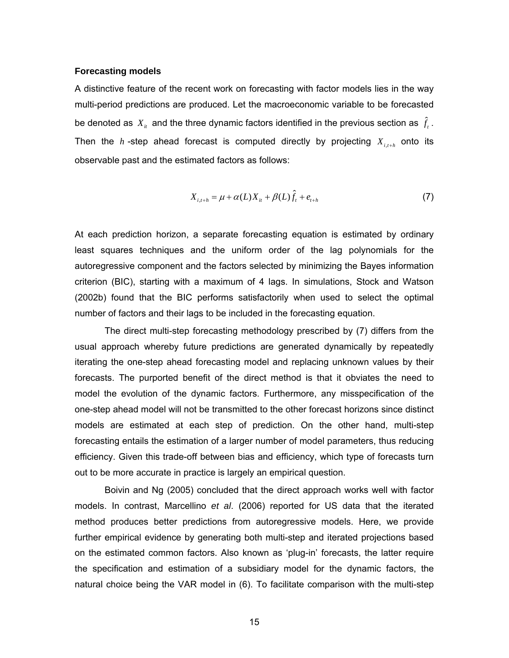#### **Forecasting models**

A distinctive feature of the recent work on forecasting with factor models lies in the way multi-period predictions are produced. Let the macroeconomic variable to be forecasted be denoted as  $X_{it}$  and the three dynamic factors identified in the previous section as  $\hat{f}_t$  . Then the  $h$  -step ahead forecast is computed directly by projecting  $X_{i,t+h}$  onto its observable past and the estimated factors as follows:

$$
X_{i,t+h} = \mu + \alpha(L)X_{it} + \beta(L)\hat{f}_t + e_{t+h}
$$
\n(7)

<span id="page-14-0"></span>At each prediction horizon, a separate forecasting equation is estimated by ordinary least squares techniques and the uniform order of the lag polynomials for the autoregressive component and the factors selected by minimizing the Bayes information criterion (BIC), starting with a maximum of 4 lags. In simulations, Stock and Watson (2002b) found that the BIC performs satisfactorily when used to select the optimal number of factors and their lags to be included in the forecasting equation.

 The direct multi-step forecasting methodology prescribed by [\(7\)](#page-14-0) differs from the usual approach whereby future predictions are generated dynamically by repeatedly iterating the one-step ahead forecasting model and replacing unknown values by their forecasts. The purported benefit of the direct method is that it obviates the need to model the evolution of the dynamic factors. Furthermore, any misspecification of the one-step ahead model will not be transmitted to the other forecast horizons since distinct models are estimated at each step of prediction. On the other hand, multi-step forecasting entails the estimation of a larger number of model parameters, thus reducing efficiency. Given this trade-off between bias and efficiency, which type of forecasts turn out to be more accurate in practice is largely an empirical question.

Boivin and Ng (2005) concluded that the direct approach works well with factor models. In contrast, Marcellino *et al*. (2006) reported for US data that the iterated method produces better predictions from autoregressive models. Here, we provide further empirical evidence by generating both multi-step and iterated projections based on the estimated common factors. Also known as 'plug-in' forecasts, the latter require the specification and estimation of a subsidiary model for the dynamic factors, the natural choice being the VAR model in [\(6\)](#page-12-1). To facilitate comparison with the multi-step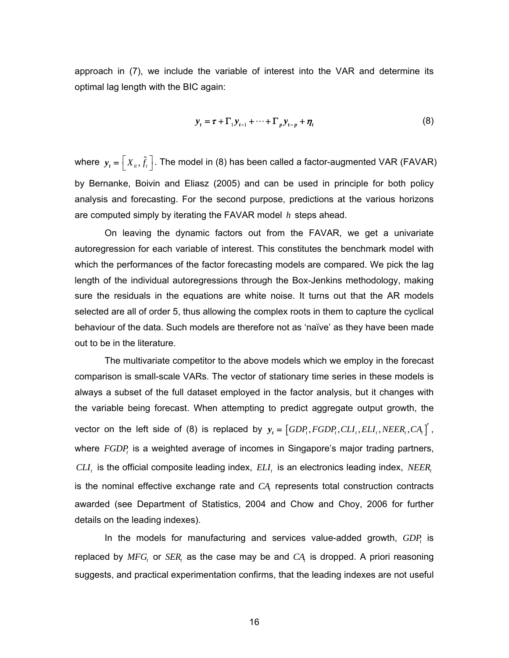approach in [\(7\)](#page-14-0), we include the variable of interest into the VAR and determine its optimal lag length with the BIC again:

$$
y_{t} = \tau + \Gamma_{1} y_{t-1} + \dots + \Gamma_{p} y_{t-p} + \eta_{t}
$$
\n
$$
(8)
$$

<span id="page-15-0"></span>where  $\bm{y}_t = \left[X_{it}, \hat{f}_t\right]$ . The model in [\(8\)](#page-15-0) has been called a factor-augmented VAR (FAVAR) by Bernanke, Boivin and Eliasz (2005) and can be used in principle for both policy analysis and forecasting. For the second purpose, predictions at the various horizons are computed simply by iterating the FAVAR model *h* steps ahead.

 On leaving the dynamic factors out from the FAVAR, we get a univariate autoregression for each variable of interest. This constitutes the benchmark model with which the performances of the factor forecasting models are compared. We pick the lag length of the individual autoregressions through the Box-Jenkins methodology, making sure the residuals in the equations are white noise. It turns out that the AR models selected are all of order 5, thus allowing the complex roots in them to capture the cyclical behaviour of the data. Such models are therefore not as 'naïve' as they have been made out to be in the literature.

 The multivariate competitor to the above models which we employ in the forecast comparison is small-scale VARs. The vector of stationary time series in these models is always a subset of the full dataset employed in the factor analysis, but it changes with the variable being forecast. When attempting to predict aggregate output growth, the vector on the left side of [\(8\)](#page-15-0) is replaced by  $y_i = \left[ GDP_i, FGDP_i, CLI_i, ELI_i, NEER_i, CA_i \right]$ , where  $FGDP<sub>t</sub>$  is a weighted average of incomes in Singapore's major trading partners,  $CLI_t$  is the official composite leading index,  $ELI_t$  is an electronics leading index,  $NEER_t$ is the nominal effective exchange rate and  $CA$ , represents total construction contracts awarded (see Department of Statistics, 2004 and Chow and Choy, 2006 for further details on the leading indexes).

In the models for manufacturing and services value-added growth,  $GDP<sub>t</sub>$  is replaced by  $MFG$ , or  $SER$ , as the case may be and  $CA$ , is dropped. A priori reasoning suggests, and practical experimentation confirms, that the leading indexes are not useful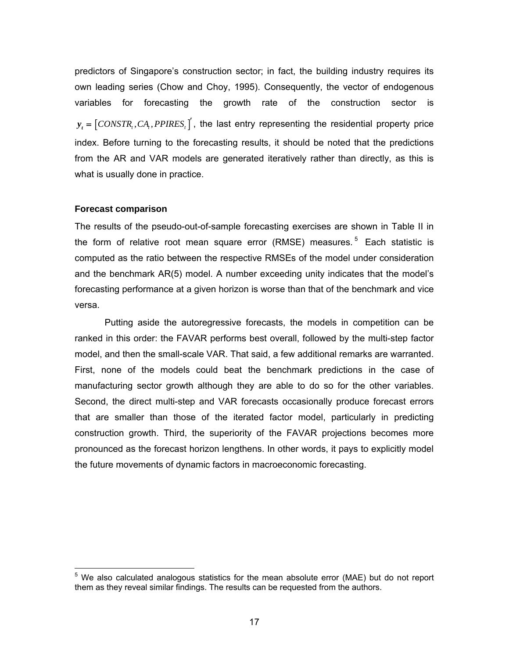predictors of Singapore's construction sector; in fact, the building industry requires its own leading series (Chow and Choy, 1995). Consequently, the vector of endogenous variables for forecasting the growth rate of the construction sector is  $y_t = [CONSTR_t, CA_t, PPIRES_t]$ , the last entry representing the residential property price index. Before turning to the forecasting results, it should be noted that the predictions from the AR and VAR models are generated iteratively rather than directly, as this is what is usually done in practice.

#### **Forecast comparison**

 $\overline{a}$ 

The results of the pseudo-out-of-sample forecasting exercises are shown in Table II in the form of relative root mean square error (RMSE) measures.<sup>[5](#page-16-0)</sup> Each statistic is computed as the ratio between the respective RMSEs of the model under consideration and the benchmark AR(5) model. A number exceeding unity indicates that the model's forecasting performance at a given horizon is worse than that of the benchmark and vice versa.

Putting aside the autoregressive forecasts, the models in competition can be ranked in this order: the FAVAR performs best overall, followed by the multi-step factor model, and then the small-scale VAR. That said, a few additional remarks are warranted. First, none of the models could beat the benchmark predictions in the case of manufacturing sector growth although they are able to do so for the other variables. Second, the direct multi-step and VAR forecasts occasionally produce forecast errors that are smaller than those of the iterated factor model, particularly in predicting construction growth. Third, the superiority of the FAVAR projections becomes more pronounced as the forecast horizon lengthens. In other words, it pays to explicitly model the future movements of dynamic factors in macroeconomic forecasting.

<span id="page-16-0"></span><sup>&</sup>lt;sup>5</sup> We also calculated analogous statistics for the mean absolute error (MAE) but do not report them as they reveal similar findings. The results can be requested from the authors.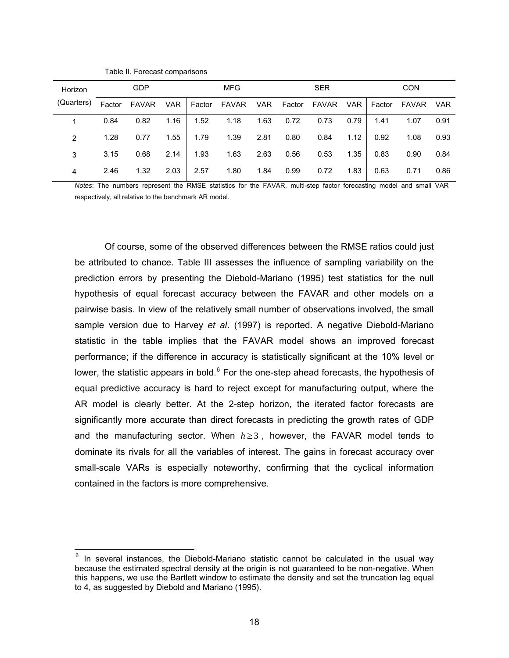| Horizon    | <b>GDP</b> |              |      | MFG    |                  |      | <b>SER</b> |                        |      | <b>CON</b> |      |            |
|------------|------------|--------------|------|--------|------------------|------|------------|------------------------|------|------------|------|------------|
| (Quarters) | Factor     | <b>FAVAR</b> | VAR  | Factor | FAVAR VAR Factor |      |            | FAVAR VAR Factor FAVAR |      |            |      | <b>VAR</b> |
|            | 0.84       | 0.82         | 1.16 | 1.52   | 1.18             | 1.63 | 0.72       | 0.73                   | 0.79 | 1.41       | 1.07 | 0.91       |
| 2          | 1.28       | 0.77         | 1.55 | 1.79   | 1.39             | 2.81 | 0.80       | 0.84                   | 1.12 | 0.92       | 1.08 | 0.93       |
| 3          | 3.15       | 0.68         | 2.14 | 1.93   | 1.63             | 2.63 | 0.56       | 0.53                   | 1.35 | 0.83       | 0.90 | 0.84       |
| 4          | 2.46       | 1.32         | 2.03 | 2.57   | 1.80             | 1.84 | 0.99       | 0.72                   | 1.83 | 0.63       | 0.71 | 0.86       |

Table II. Forecast comparisons

 $\overline{a}$ 

*Notes*: The numbers represent the RMSE statistics for the FAVAR, multi-step factor forecasting model and small VAR respectively, all relative to the benchmark AR model.

 Of course, some of the observed differences between the RMSE ratios could just be attributed to chance. Table III assesses the influence of sampling variability on the prediction errors by presenting the Diebold-Mariano (1995) test statistics for the null hypothesis of equal forecast accuracy between the FAVAR and other models on a pairwise basis. In view of the relatively small number of observations involved, the small sample version due to Harvey *et al*. (1997) is reported. A negative Diebold-Mariano statistic in the table implies that the FAVAR model shows an improved forecast performance; if the difference in accuracy is statistically significant at the 10% level or lower, the statistic appears in bold. $6$  For the one-step ahead forecasts, the hypothesis of equal predictive accuracy is hard to reject except for manufacturing output, where the AR model is clearly better. At the 2-step horizon, the iterated factor forecasts are significantly more accurate than direct forecasts in predicting the growth rates of GDP and the manufacturing sector. When  $h \geq 3$ , however, the FAVAR model tends to dominate its rivals for all the variables of interest. The gains in forecast accuracy over small-scale VARs is especially noteworthy, confirming that the cyclical information contained in the factors is more comprehensive.

<span id="page-17-0"></span> $6$  In several instances, the Diebold-Mariano statistic cannot be calculated in the usual way because the estimated spectral density at the origin is not guaranteed to be non-negative. When this happens, we use the Bartlett window to estimate the density and set the truncation lag equal to 4, as suggested by Diebold and Mariano (1995).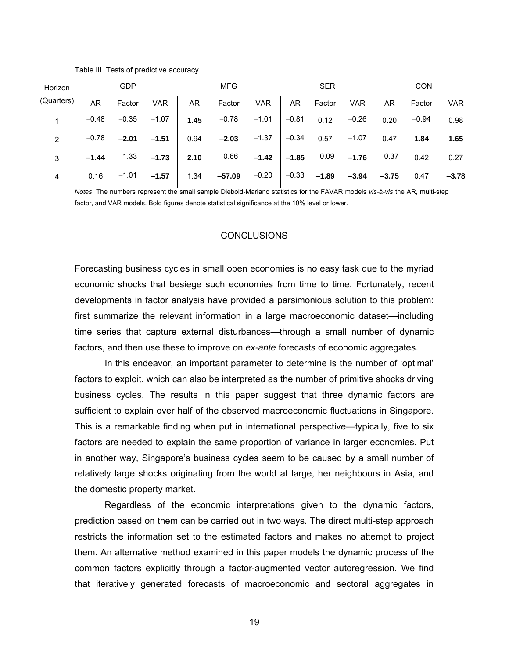| Horizon       |           | <b>GDP</b> |                 |      | <b>MFG</b>                                    |            |           | <b>SER</b>              |            |              | <b>CON</b> |            |
|---------------|-----------|------------|-----------------|------|-----------------------------------------------|------------|-----------|-------------------------|------------|--------------|------------|------------|
| (Quarters)    | <b>AR</b> | Factor     | <b>VAR</b>      | AR.  | Factor                                        | <b>VAR</b> | <b>AR</b> | Factor                  | <b>VAR</b> | AR.          | Factor     | <b>VAR</b> |
|               | $-0.48$   | $-0.35$    | $-1.07$         | 1.45 | $-0.78$ $-1.01$                               |            |           | $-0.81$ 0.12            | $-0.26$    | 0.20         | $-0.94$    | 0.98       |
| $\mathcal{P}$ | $-0.78$   | $-2.01$    | $-1.51$         | 0.94 | $-2.03$ $-1.37$                               |            |           | $-0.34$ 0.57 $-1.07$    |            | 0.47         | 1.84       | 1.65       |
| 3             | $-1.44$   |            | $-1.33$ $-1.73$ | 2.10 | $-0.66$ $-1.42$                               |            |           | $-1.85$ $-0.09$ $-1.76$ |            | $-0.37$ 0.42 |            | 0.27       |
| 4             | 0.16      | $-1.01$    | $-1.57$         |      | 1.34 $-57.09$ $-0.20$ $-0.33$ $-1.89$ $-3.94$ |            |           |                         |            | $-3.75$      | 0.47       | $-3.78$    |

Table III. Tests of predictive accuracy

*Notes*: The numbers represent the small sample Diebold-Mariano statistics for the FAVAR models *vis-à-vis* the AR, multi-step factor, and VAR models. Bold figures denote statistical significance at the 10% level or lower.

## **CONCLUSIONS**

Forecasting business cycles in small open economies is no easy task due to the myriad economic shocks that besiege such economies from time to time. Fortunately, recent developments in factor analysis have provided a parsimonious solution to this problem: first summarize the relevant information in a large macroeconomic dataset—including time series that capture external disturbances—through a small number of dynamic factors, and then use these to improve on *ex-ante* forecasts of economic aggregates.

In this endeavor, an important parameter to determine is the number of 'optimal' factors to exploit, which can also be interpreted as the number of primitive shocks driving business cycles. The results in this paper suggest that three dynamic factors are sufficient to explain over half of the observed macroeconomic fluctuations in Singapore. This is a remarkable finding when put in international perspective—typically, five to six factors are needed to explain the same proportion of variance in larger economies. Put in another way, Singapore's business cycles seem to be caused by a small number of relatively large shocks originating from the world at large, her neighbours in Asia, and the domestic property market.

 Regardless of the economic interpretations given to the dynamic factors, prediction based on them can be carried out in two ways. The direct multi-step approach restricts the information set to the estimated factors and makes no attempt to project them. An alternative method examined in this paper models the dynamic process of the common factors explicitly through a factor-augmented vector autoregression. We find that iteratively generated forecasts of macroeconomic and sectoral aggregates in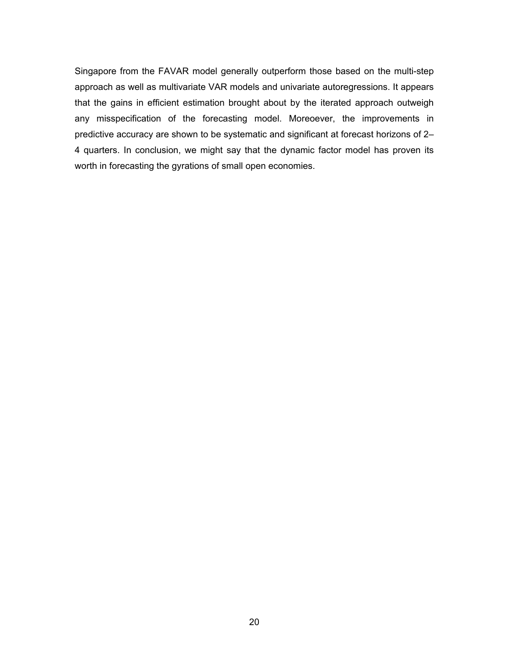Singapore from the FAVAR model generally outperform those based on the multi-step approach as well as multivariate VAR models and univariate autoregressions. It appears that the gains in efficient estimation brought about by the iterated approach outweigh any misspecification of the forecasting model. Moreoever, the improvements in predictive accuracy are shown to be systematic and significant at forecast horizons of 2– 4 quarters. In conclusion, we might say that the dynamic factor model has proven its worth in forecasting the gyrations of small open economies.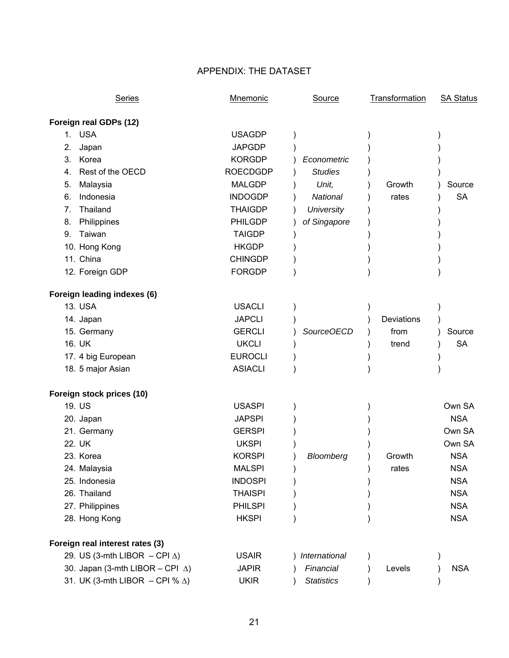# APPENDIX: THE DATASET

| Series                                     | Mnemonic        | Source            | <b>Transformation</b> | <b>SA Status</b> |
|--------------------------------------------|-----------------|-------------------|-----------------------|------------------|
| Foreign real GDPs (12)                     |                 |                   |                       |                  |
| 1. USA                                     | <b>USAGDP</b>   |                   |                       |                  |
| 2.<br>Japan                                | <b>JAPGDP</b>   |                   |                       |                  |
| 3.<br>Korea                                | <b>KORGDP</b>   | Econometric       |                       |                  |
| Rest of the OECD<br>4.                     | <b>ROECDGDP</b> | <b>Studies</b>    |                       |                  |
| Malaysia<br>5.                             | <b>MALGDP</b>   | Unit,             | Growth                | Source           |
| Indonesia<br>6.                            | <b>INDOGDP</b>  | National          | rates                 | <b>SA</b>        |
| 7.<br>Thailand                             | <b>THAIGDP</b>  | <b>University</b> |                       |                  |
| Philippines<br>8.                          | <b>PHILGDP</b>  | of Singapore      |                       |                  |
| Taiwan<br>9.                               | <b>TAIGDP</b>   |                   |                       |                  |
| 10. Hong Kong                              | <b>HKGDP</b>    |                   |                       |                  |
| 11. China                                  | <b>CHINGDP</b>  |                   |                       |                  |
| 12. Foreign GDP                            | <b>FORGDP</b>   |                   |                       |                  |
| Foreign leading indexes (6)                |                 |                   |                       |                  |
| 13. USA                                    | <b>USACLI</b>   |                   |                       |                  |
| 14. Japan                                  | <b>JAPCLI</b>   |                   | Deviations            |                  |
| 15. Germany                                | <b>GERCLI</b>   | SourceOECD        | from                  | Source           |
| 16. UK                                     | <b>UKCLI</b>    |                   | trend                 | <b>SA</b>        |
| 17. 4 big European                         | <b>EUROCLI</b>  |                   |                       |                  |
| 18. 5 major Asian                          | <b>ASIACLI</b>  |                   |                       |                  |
| Foreign stock prices (10)                  |                 |                   |                       |                  |
| 19. US                                     | <b>USASPI</b>   |                   |                       | Own SA           |
| 20. Japan                                  | <b>JAPSPI</b>   |                   |                       | <b>NSA</b>       |
| 21. Germany                                | <b>GERSPI</b>   |                   |                       | Own SA           |
| 22. UK                                     | <b>UKSPI</b>    |                   |                       | Own SA           |
| 23. Korea                                  | <b>KORSPI</b>   | Bloomberg         | Growth                | <b>NSA</b>       |
| 24. Malaysia                               | <b>MALSPI</b>   |                   | rates                 | <b>NSA</b>       |
| 25. Indonesia                              | <b>INDOSPI</b>  |                   |                       | <b>NSA</b>       |
| 26. Thailand                               | <b>THAISPI</b>  |                   |                       | <b>NSA</b>       |
| 27. Philippines                            | <b>PHILSPI</b>  |                   |                       | <b>NSA</b>       |
| 28. Hong Kong                              | <b>HKSPI</b>    |                   |                       | <b>NSA</b>       |
| Foreign real interest rates (3)            |                 |                   |                       |                  |
| 29. US (3-mth LIBOR $-$ CPI $\triangle$ )  | <b>USAIR</b>    | International     |                       |                  |
| 30. Japan (3-mth LIBOR - CPI $\triangle$ ) | <b>JAPIR</b>    | Financial         | Levels                | <b>NSA</b>       |
| 31. UK (3-mth LIBOR - CPI % $\Delta$ )     | <b>UKIR</b>     | <b>Statistics</b> |                       |                  |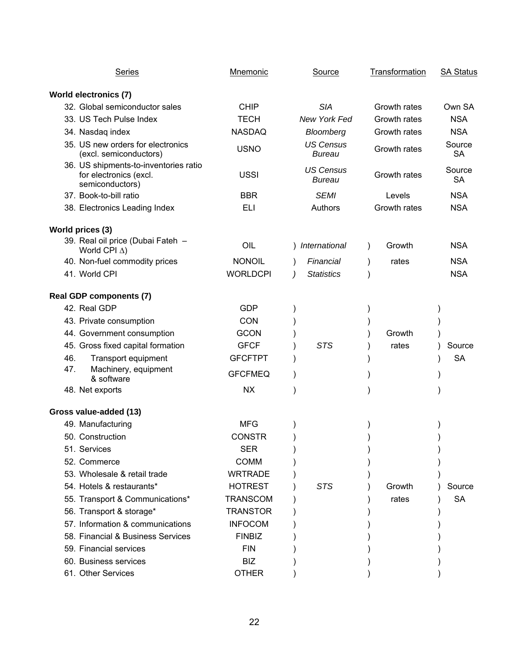| <b>Series</b>                                                                      | Mnemonic        | Source                            | Transformation | <b>SA Status</b>    |
|------------------------------------------------------------------------------------|-----------------|-----------------------------------|----------------|---------------------|
| <b>World electronics (7)</b>                                                       |                 |                                   |                |                     |
| 32. Global semiconductor sales                                                     | <b>CHIP</b>     | <b>SIA</b>                        | Growth rates   | Own SA              |
| 33. US Tech Pulse Index                                                            | <b>TECH</b>     | New York Fed                      | Growth rates   | <b>NSA</b>          |
| 34. Nasdaq index                                                                   | <b>NASDAQ</b>   | Bloomberg                         | Growth rates   | <b>NSA</b>          |
| 35. US new orders for electronics<br>(excl. semiconductors)                        | <b>USNO</b>     | <b>US Census</b><br><b>Bureau</b> | Growth rates   | Source<br><b>SA</b> |
| 36. US shipments-to-inventories ratio<br>for electronics (excl.<br>semiconductors) | <b>USSI</b>     | <b>US Census</b><br><b>Bureau</b> | Growth rates   | Source<br><b>SA</b> |
| 37. Book-to-bill ratio                                                             | <b>BBR</b>      | <b>SEMI</b>                       | Levels         | <b>NSA</b>          |
| 38. Electronics Leading Index                                                      | <b>ELI</b>      | Authors                           | Growth rates   | <b>NSA</b>          |
| World prices (3)                                                                   |                 |                                   |                |                     |
| 39. Real oil price (Dubai Fateh -<br>World CPI $\Delta$ )                          | OIL             | ) International                   | Growth         | <b>NSA</b>          |
| 40. Non-fuel commodity prices                                                      | <b>NONOIL</b>   | Financial                         | rates          | <b>NSA</b>          |
| 41. World CPI                                                                      | <b>WORLDCPI</b> | <b>Statistics</b>                 |                | <b>NSA</b>          |
| <b>Real GDP components (7)</b>                                                     |                 |                                   |                |                     |
| 42. Real GDP                                                                       | <b>GDP</b>      |                                   |                |                     |
| 43. Private consumption                                                            | CON             |                                   |                |                     |
| 44. Government consumption                                                         | <b>GCON</b>     |                                   | Growth         |                     |
| 45. Gross fixed capital formation                                                  | <b>GFCF</b>     | <b>STS</b>                        | rates          | Source              |
| 46.<br>Transport equipment                                                         | <b>GFCFTPT</b>  |                                   |                | <b>SA</b>           |
| 47.<br>Machinery, equipment<br>& software                                          | <b>GFCFMEQ</b>  |                                   |                |                     |
| 48. Net exports                                                                    | <b>NX</b>       |                                   |                |                     |
| Gross value-added (13)                                                             |                 |                                   |                |                     |
| 49. Manufacturing                                                                  | <b>MFG</b>      |                                   |                |                     |
| 50. Construction                                                                   | <b>CONSTR</b>   |                                   |                |                     |
| 51. Services                                                                       | <b>SER</b>      |                                   |                |                     |
| 52. Commerce                                                                       | <b>COMM</b>     |                                   |                |                     |
| 53. Wholesale & retail trade                                                       | <b>WRTRADE</b>  |                                   |                |                     |
| 54. Hotels & restaurants*                                                          | <b>HOTREST</b>  | <b>STS</b>                        | Growth         | Source              |
| 55. Transport & Communications*                                                    | <b>TRANSCOM</b> |                                   | rates          | <b>SA</b>           |
| 56. Transport & storage*                                                           | <b>TRANSTOR</b> |                                   |                |                     |
| 57. Information & communications                                                   | <b>INFOCOM</b>  |                                   |                |                     |
| 58. Financial & Business Services                                                  | <b>FINBIZ</b>   |                                   |                |                     |
| 59. Financial services                                                             | <b>FIN</b>      |                                   |                |                     |
| 60. Business services                                                              | <b>BIZ</b>      |                                   |                |                     |
| 61. Other Services                                                                 | <b>OTHER</b>    |                                   |                |                     |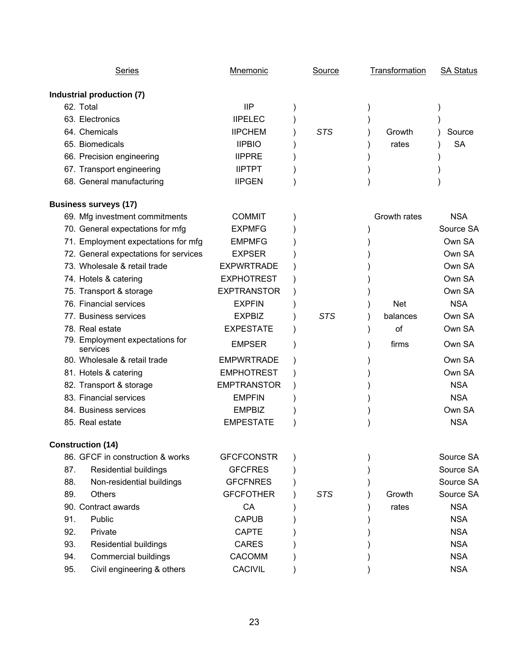| <b>Series</b>                               | <b>Mnemonic</b>    | <b>Source</b> | Transformation | <b>SA Status</b> |
|---------------------------------------------|--------------------|---------------|----------------|------------------|
| Industrial production (7)                   |                    |               |                |                  |
| 62. Total                                   | IIP                |               |                |                  |
| 63. Electronics                             | <b>IIPELEC</b>     |               |                |                  |
| 64. Chemicals                               | <b>IIPCHEM</b>     | <b>STS</b>    | Growth         | Source           |
| 65. Biomedicals                             | <b>IIPBIO</b>      |               | rates          | <b>SA</b>        |
| 66. Precision engineering                   | <b>IIPPRE</b>      |               |                |                  |
| 67. Transport engineering                   | <b>IIPTPT</b>      |               |                |                  |
| 68. General manufacturing                   | <b>IIPGEN</b>      |               |                |                  |
| <b>Business surveys (17)</b>                |                    |               |                |                  |
| 69. Mfg investment commitments              | <b>COMMIT</b>      |               | Growth rates   | <b>NSA</b>       |
| 70. General expectations for mfg            | <b>EXPMFG</b>      |               |                | Source SA        |
| 71. Employment expectations for mfg         | <b>EMPMFG</b>      |               |                | Own SA           |
| 72. General expectations for services       | <b>EXPSER</b>      |               |                | Own SA           |
| 73. Wholesale & retail trade                | <b>EXPWRTRADE</b>  |               |                | Own SA           |
| 74. Hotels & catering                       | <b>EXPHOTREST</b>  |               |                | Own SA           |
| 75. Transport & storage                     | <b>EXPTRANSTOR</b> |               |                | Own SA           |
| 76. Financial services                      | <b>EXPFIN</b>      |               | <b>Net</b>     | <b>NSA</b>       |
| 77. Business services                       | <b>EXPBIZ</b>      | <b>STS</b>    | balances       | Own SA           |
| 78. Real estate                             | <b>EXPESTATE</b>   |               | of             | Own SA           |
| 79. Employment expectations for<br>services | <b>EMPSER</b>      |               | firms          | Own SA           |
| 80. Wholesale & retail trade                | <b>EMPWRTRADE</b>  |               |                | Own SA           |
| 81. Hotels & catering                       | <b>EMPHOTREST</b>  |               |                | Own SA           |
| 82. Transport & storage                     | <b>EMPTRANSTOR</b> |               |                | <b>NSA</b>       |
| 83. Financial services                      | <b>EMPFIN</b>      |               |                | <b>NSA</b>       |
| 84. Business services                       | <b>EMPBIZ</b>      |               |                | Own SA           |
| 85. Real estate                             | <b>EMPESTATE</b>   |               |                | <b>NSA</b>       |
| <b>Construction (14)</b>                    |                    |               |                |                  |
| 86. GFCF in construction & works            | <b>GFCFCONSTR</b>  |               |                | Source SA        |
| 87.<br><b>Residential buildings</b>         | <b>GFCFRES</b>     |               |                | Source SA        |
| 88.<br>Non-residential buildings            | <b>GFCFNRES</b>    |               |                | Source SA        |
| 89.<br>Others                               | <b>GFCFOTHER</b>   | <b>STS</b>    | Growth         | Source SA        |
| 90. Contract awards                         | CA                 |               | rates          | <b>NSA</b>       |
| 91.<br>Public                               | <b>CAPUB</b>       |               |                | <b>NSA</b>       |
| 92.<br>Private                              | <b>CAPTE</b>       |               |                | <b>NSA</b>       |
| 93.<br><b>Residential buildings</b>         | <b>CARES</b>       |               |                | <b>NSA</b>       |
| <b>Commercial buildings</b><br>94.          | CACOMM             |               |                | <b>NSA</b>       |
| 95.<br>Civil engineering & others           | <b>CACIVIL</b>     |               |                | <b>NSA</b>       |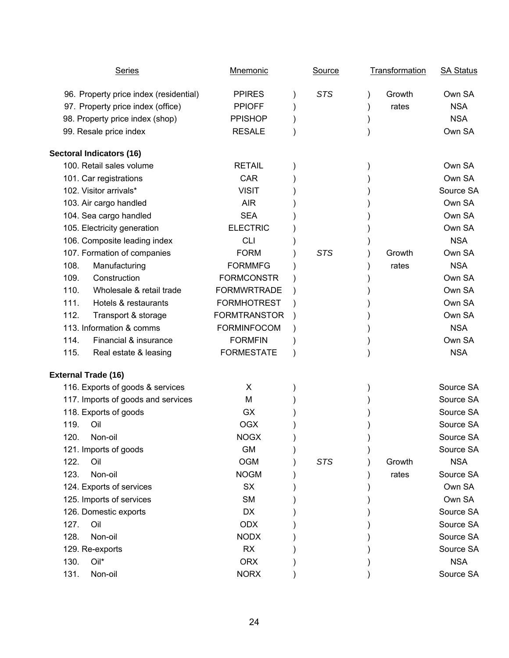| <b>Series</b>                          | <b>Mnemonic</b>     | <b>Source</b> | <b>Transformation</b> | <b>SA Status</b> |
|----------------------------------------|---------------------|---------------|-----------------------|------------------|
| 96. Property price index (residential) | <b>PPIRES</b>       | <b>STS</b>    | Growth                | Own SA           |
| 97. Property price index (office)      | <b>PPIOFF</b>       |               | rates                 | <b>NSA</b>       |
| 98. Property price index (shop)        | <b>PPISHOP</b>      |               |                       | <b>NSA</b>       |
| 99. Resale price index                 | <b>RESALE</b>       |               |                       | Own SA           |
| <b>Sectoral Indicators (16)</b>        |                     |               |                       |                  |
| 100. Retail sales volume               | <b>RETAIL</b>       |               |                       | Own SA           |
| 101. Car registrations                 | <b>CAR</b>          |               |                       | Own SA           |
| 102. Visitor arrivals*                 | <b>VISIT</b>        |               |                       | Source SA        |
| 103. Air cargo handled                 | <b>AIR</b>          |               |                       | Own SA           |
| 104. Sea cargo handled                 | <b>SEA</b>          |               |                       | Own SA           |
| 105. Electricity generation            | <b>ELECTRIC</b>     |               |                       | Own SA           |
| 106. Composite leading index           | <b>CLI</b>          |               |                       | <b>NSA</b>       |
| 107. Formation of companies            | <b>FORM</b>         | <b>STS</b>    | Growth                | Own SA           |
| 108.<br>Manufacturing                  | <b>FORMMFG</b>      |               | rates                 | <b>NSA</b>       |
| Construction<br>109.                   | <b>FORMCONSTR</b>   |               |                       | Own SA           |
| 110.<br>Wholesale & retail trade       | <b>FORMWRTRADE</b>  |               |                       | Own SA           |
| 111.<br>Hotels & restaurants           | <b>FORMHOTREST</b>  |               |                       | Own SA           |
| 112.<br>Transport & storage            | <b>FORMTRANSTOR</b> |               |                       | Own SA           |
| 113. Information & comms               | <b>FORMINFOCOM</b>  |               |                       | <b>NSA</b>       |
| Financial & insurance<br>114.          | <b>FORMFIN</b>      |               |                       | Own SA           |
| 115.<br>Real estate & leasing          | <b>FORMESTATE</b>   |               |                       | <b>NSA</b>       |
| <b>External Trade (16)</b>             |                     |               |                       |                  |
| 116. Exports of goods & services       | X                   |               |                       | Source SA        |
| 117. Imports of goods and services     | M                   |               |                       | Source SA        |
| 118. Exports of goods                  | <b>GX</b>           |               |                       | Source SA        |
| 119.<br>Oil                            | <b>OGX</b>          |               |                       | Source SA        |
| 120.<br>Non-oil                        | <b>NOGX</b>         |               |                       | Source SA        |
| 121. Imports of goods                  | <b>GM</b>           |               |                       | Source SA        |
| 122.<br>Oil                            | <b>OGM</b>          | <b>STS</b>    | Growth                | <b>NSA</b>       |
| Non-oil<br>123.                        | <b>NOGM</b>         |               | rates                 | Source SA        |
| 124. Exports of services               | <b>SX</b>           |               |                       | Own SA           |
| 125. Imports of services               | <b>SM</b>           |               |                       | Own SA           |
| 126. Domestic exports                  | <b>DX</b>           |               |                       | Source SA        |
| 127.<br>Oil                            | <b>ODX</b>          |               |                       | Source SA        |
| 128.<br>Non-oil                        | <b>NODX</b>         |               |                       | Source SA        |
| 129. Re-exports                        | <b>RX</b>           |               |                       | Source SA        |
| 130.<br>Oil*                           | <b>ORX</b>          |               |                       | <b>NSA</b>       |
| 131.<br>Non-oil                        | <b>NORX</b>         |               |                       | Source SA        |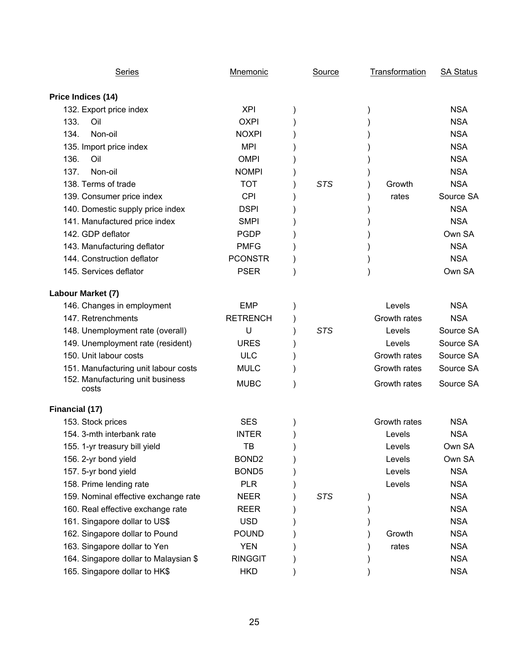| <b>Series</b>                             | <b>Mnemonic</b>   | Source     | Transformation | <b>SA Status</b> |
|-------------------------------------------|-------------------|------------|----------------|------------------|
| Price Indices (14)                        |                   |            |                |                  |
| 132. Export price index                   | <b>XPI</b>        |            |                | <b>NSA</b>       |
| 133.<br>Oil                               | <b>OXPI</b>       |            |                | <b>NSA</b>       |
| 134.<br>Non-oil                           | <b>NOXPI</b>      |            |                | <b>NSA</b>       |
| 135. Import price index                   | <b>MPI</b>        |            |                | <b>NSA</b>       |
| 136.<br>Oil                               | <b>OMPI</b>       |            |                | <b>NSA</b>       |
| Non-oil<br>137.                           | <b>NOMPI</b>      |            |                | <b>NSA</b>       |
| 138. Terms of trade                       | <b>TOT</b>        | <b>STS</b> | Growth         | <b>NSA</b>       |
| 139. Consumer price index                 | <b>CPI</b>        |            | rates          | Source SA        |
| 140. Domestic supply price index          | <b>DSPI</b>       |            |                | <b>NSA</b>       |
| 141. Manufactured price index             | <b>SMPI</b>       |            |                | <b>NSA</b>       |
| 142. GDP deflator                         | <b>PGDP</b>       |            |                | Own SA           |
| 143. Manufacturing deflator               | <b>PMFG</b>       |            |                | <b>NSA</b>       |
| 144. Construction deflator                | <b>PCONSTR</b>    |            |                | <b>NSA</b>       |
| 145. Services deflator                    | <b>PSER</b>       |            |                | Own SA           |
| Labour Market (7)                         |                   |            |                |                  |
| 146. Changes in employment                | <b>EMP</b>        |            | Levels         | <b>NSA</b>       |
| 147. Retrenchments                        | <b>RETRENCH</b>   |            | Growth rates   | <b>NSA</b>       |
| 148. Unemployment rate (overall)          | U                 | <b>STS</b> | Levels         | Source SA        |
| 149. Unemployment rate (resident)         | <b>URES</b>       |            | Levels         | Source SA        |
| 150. Unit labour costs                    | <b>ULC</b>        |            | Growth rates   | Source SA        |
| 151. Manufacturing unit labour costs      | <b>MULC</b>       |            | Growth rates   | Source SA        |
| 152. Manufacturing unit business<br>costs | <b>MUBC</b>       |            | Growth rates   | Source SA        |
| Financial (17)                            |                   |            |                |                  |
| 153. Stock prices                         | <b>SES</b>        |            | Growth rates   | <b>NSA</b>       |
| 154. 3-mth interbank rate                 | <b>INTER</b>      |            | Levels         | <b>NSA</b>       |
| 155. 1-yr treasury bill yield             | TB                |            | Levels         | Own SA           |
| 156. 2-yr bond yield                      | BOND <sub>2</sub> |            | Levels         | Own SA           |
| 157. 5-yr bond yield                      | BOND <sub>5</sub> |            | Levels         | <b>NSA</b>       |
| 158. Prime lending rate                   | <b>PLR</b>        |            | Levels         | <b>NSA</b>       |
| 159. Nominal effective exchange rate      | <b>NEER</b>       | <b>STS</b> |                | <b>NSA</b>       |
| 160. Real effective exchange rate         | <b>REER</b>       |            |                | <b>NSA</b>       |
| 161. Singapore dollar to US\$             | <b>USD</b>        |            |                | <b>NSA</b>       |
| 162. Singapore dollar to Pound            | <b>POUND</b>      |            | Growth         | <b>NSA</b>       |
| 163. Singapore dollar to Yen              | <b>YEN</b>        |            | rates          | <b>NSA</b>       |
| 164. Singapore dollar to Malaysian \$     | <b>RINGGIT</b>    |            |                | <b>NSA</b>       |
| 165. Singapore dollar to HK\$             | <b>HKD</b>        |            |                | <b>NSA</b>       |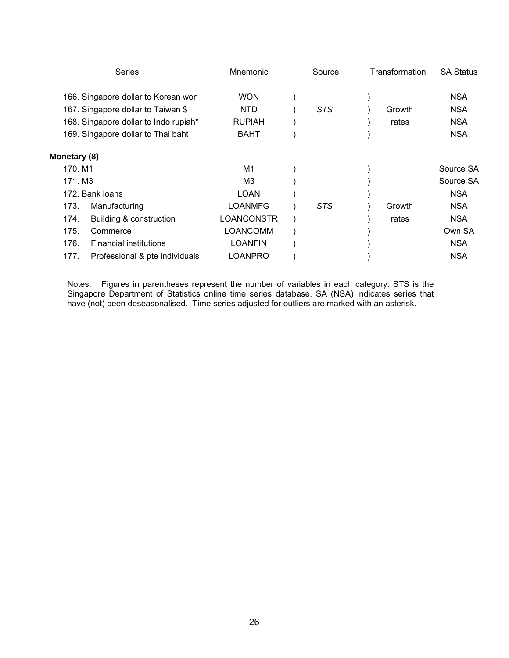|              | Series                                | Mnemonic        | Source     | Transformation | <b>SA Status</b> |
|--------------|---------------------------------------|-----------------|------------|----------------|------------------|
|              | 166. Singapore dollar to Korean won   | <b>WON</b>      |            |                | <b>NSA</b>       |
|              | 167. Singapore dollar to Taiwan \$    | <b>NTD</b>      | STS        | Growth         | <b>NSA</b>       |
|              | 168. Singapore dollar to Indo rupiah* | <b>RUPIAH</b>   |            | rates          | <b>NSA</b>       |
|              | 169. Singapore dollar to Thai baht    | <b>BAHT</b>     |            |                | <b>NSA</b>       |
| Monetary (8) |                                       |                 |            |                |                  |
| 170. M1      |                                       | M1              |            |                | Source SA        |
|              | 171. M3                               | MЗ              |            |                | Source SA        |
|              | 172. Bank loans                       | LOAN            |            |                | <b>NSA</b>       |
| 173.         | Manufacturing                         | <b>LOANMFG</b>  | <b>STS</b> | Growth         | <b>NSA</b>       |
| 174.         | Building & construction               | LOANCONSTR      |            | rates          | <b>NSA</b>       |
| 175.         | Commerce                              | <b>LOANCOMM</b> |            |                | Own SA           |
| 176.         | <b>Financial institutions</b>         | <b>LOANFIN</b>  |            |                | <b>NSA</b>       |
| 177.         | Professional & pte individuals        | LOANPRO         |            |                | <b>NSA</b>       |

Notes: Figures in parentheses represent the number of variables in each category. STS is the Singapore Department of Statistics online time series database. SA (NSA) indicates series that have (not) been deseasonalised. Time series adjusted for outliers are marked with an asterisk.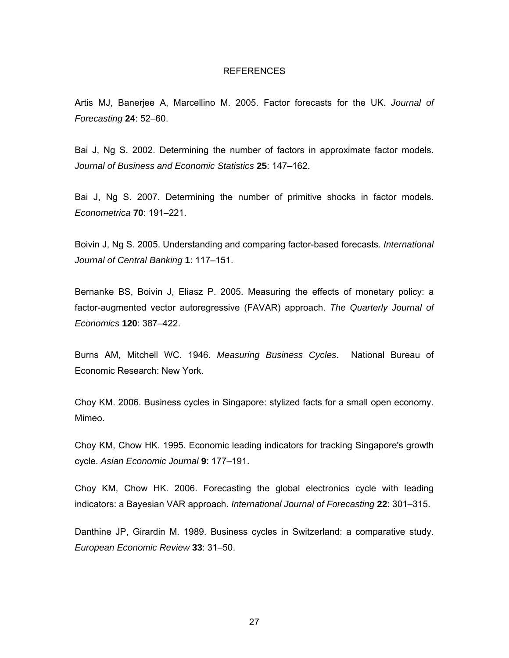#### REFERENCES

Artis MJ, Banerjee A, Marcellino M. 2005. Factor forecasts for the UK. *Journal of Forecasting* **24**: 52–60.

Bai J, Ng S. 2002. Determining the number of factors in approximate factor models. *Journal of Business and Economic Statistics* **25**: 147–162.

Bai J, Ng S. 2007. Determining the number of primitive shocks in factor models. *Econometrica* **70**: 191–221.

Boivin J, Ng S. 2005. Understanding and comparing factor-based forecasts. *International Journal of Central Banking* **1**: 117–151.

Bernanke BS, Boivin J, Eliasz P. 2005. Measuring the effects of monetary policy: a factor-augmented vector autoregressive (FAVAR) approach. *The Quarterly Journal of Economics* **120**: 387–422.

Burns AM, Mitchell WC. 1946. *Measuring Business Cycles*. National Bureau of Economic Research: New York.

Choy KM. 2006. Business cycles in Singapore: stylized facts for a small open economy. Mimeo.

Choy KM, Chow HK. 1995. Economic leading indicators for tracking Singapore's growth cycle. *Asian Economic Journal* **9**: 177–191.

Choy KM, Chow HK. 2006. Forecasting the global electronics cycle with leading indicators: a Bayesian VAR approach. *International Journal of Forecasting* **22**: 301–315.

Danthine JP, Girardin M. 1989. Business cycles in Switzerland: a comparative study. *European Economic Review* **33**: 31–50.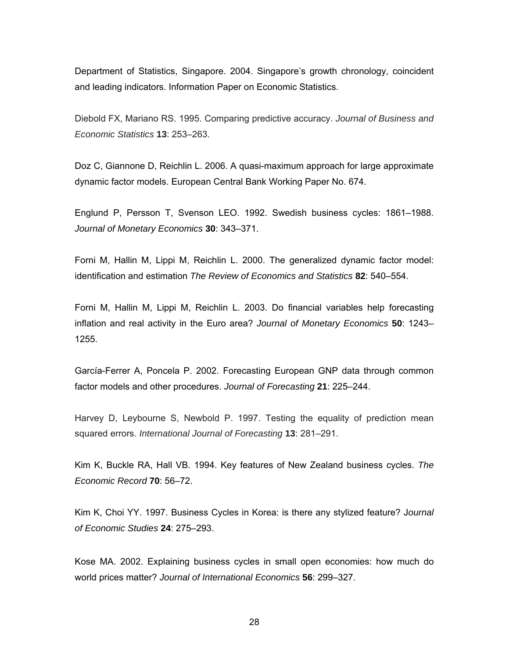Department of Statistics, Singapore. 2004. Singapore's growth chronology, coincident and leading indicators. Information Paper on Economic Statistics.

Diebold FX, Mariano RS. 1995. Comparing predictive accuracy. *Journal of Business and Economic Statistics* **13**: 253–263.

Doz C, Giannone D, Reichlin L. 2006. A quasi-maximum approach for large approximate dynamic factor models. European Central Bank Working Paper No. 674.

Englund P, Persson T, Svenson LEO. 1992. Swedish business cycles: 1861–1988. *Journal of Monetary Economics* **30**: 343–371.

Forni M, Hallin M, Lippi M, Reichlin L. 2000. The generalized dynamic factor model: identification and estimation *The Review of Economics and Statistics* **82**: 540–554.

Forni M, Hallin M, Lippi M, Reichlin L. 2003. Do financial variables help forecasting inflation and real activity in the Euro area? *Journal of Monetary Economics* **50**: 1243– 1255.

García-Ferrer A, Poncela P. 2002. Forecasting European GNP data through common factor models and other procedures. *Journal of Forecasting* **21**: 225–244.

Harvey D, Leybourne S, Newbold P. 1997. Testing the equality of prediction mean squared errors. *International Journal of Forecasting* **13**: 281–291.

Kim K, Buckle RA, Hall VB. 1994. Key features of New Zealand business cycles. *The Economic Record* **70**: 56–72.

Kim K, Choi YY. 1997. Business Cycles in Korea: is there any stylized feature? J*ournal of Economic Studies* **24**: 275–293.

Kose MA. 2002. Explaining business cycles in small open economies: how much do world prices matter? *Journal of International Economics* **56**: 299–327.